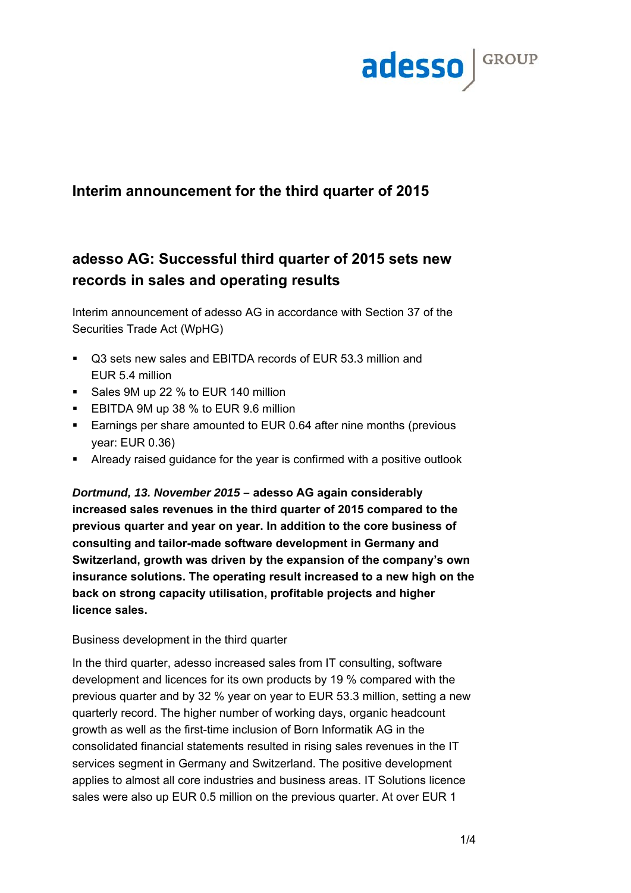

## **Interim announcement for the third quarter of 2015**

# **adesso AG: Successful third quarter of 2015 sets new records in sales and operating results**

Interim announcement of adesso AG in accordance with Section 37 of the Securities Trade Act (WpHG)

- Q3 sets new sales and EBITDA records of EUR 53.3 million and EUR 5.4 million
- Sales 9M up 22 % to EUR 140 million
- **EBITDA 9M up 38 % to EUR 9.6 million**
- **Earnings per share amounted to EUR 0.64 after nine months (previous** year: EUR 0.36)
- Already raised guidance for the year is confirmed with a positive outlook

*Dortmund, 13. November 2015 –* **adesso AG again considerably increased sales revenues in the third quarter of 2015 compared to the previous quarter and year on year. In addition to the core business of consulting and tailor-made software development in Germany and Switzerland, growth was driven by the expansion of the company's own insurance solutions. The operating result increased to a new high on the back on strong capacity utilisation, profitable projects and higher licence sales.** 

## Business development in the third quarter

In the third quarter, adesso increased sales from IT consulting, software development and licences for its own products by 19 % compared with the previous quarter and by 32 % year on year to EUR 53.3 million, setting a new quarterly record. The higher number of working days, organic headcount growth as well as the first-time inclusion of Born Informatik AG in the consolidated financial statements resulted in rising sales revenues in the IT services segment in Germany and Switzerland. The positive development applies to almost all core industries and business areas. IT Solutions licence sales were also up EUR 0.5 million on the previous quarter. At over EUR 1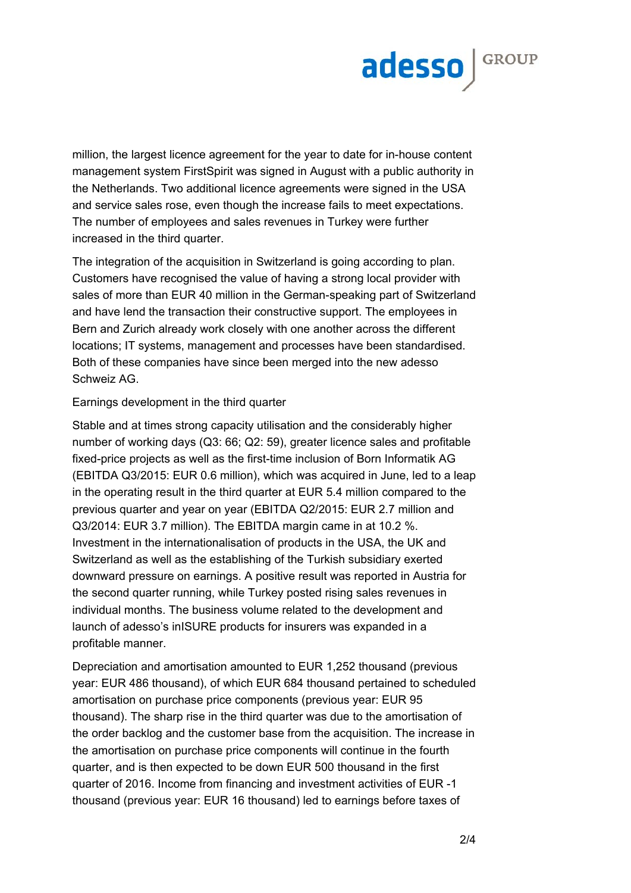

million, the largest licence agreement for the year to date for in-house content management system FirstSpirit was signed in August with a public authority in the Netherlands. Two additional licence agreements were signed in the USA and service sales rose, even though the increase fails to meet expectations. The number of employees and sales revenues in Turkey were further increased in the third quarter.

The integration of the acquisition in Switzerland is going according to plan. Customers have recognised the value of having a strong local provider with sales of more than EUR 40 million in the German-speaking part of Switzerland and have lend the transaction their constructive support. The employees in Bern and Zurich already work closely with one another across the different locations; IT systems, management and processes have been standardised. Both of these companies have since been merged into the new adesso Schweiz AG.

#### Earnings development in the third quarter

Stable and at times strong capacity utilisation and the considerably higher number of working days (Q3: 66; Q2: 59), greater licence sales and profitable fixed-price projects as well as the first-time inclusion of Born Informatik AG (EBITDA Q3/2015: EUR 0.6 million), which was acquired in June, led to a leap in the operating result in the third quarter at EUR 5.4 million compared to the previous quarter and year on year (EBITDA Q2/2015: EUR 2.7 million and Q3/2014: EUR 3.7 million). The EBITDA margin came in at 10.2 %. Investment in the internationalisation of products in the USA, the UK and Switzerland as well as the establishing of the Turkish subsidiary exerted downward pressure on earnings. A positive result was reported in Austria for the second quarter running, while Turkey posted rising sales revenues in individual months. The business volume related to the development and launch of adesso's inISURE products for insurers was expanded in a profitable manner.

Depreciation and amortisation amounted to EUR 1,252 thousand (previous year: EUR 486 thousand), of which EUR 684 thousand pertained to scheduled amortisation on purchase price components (previous year: EUR 95 thousand). The sharp rise in the third quarter was due to the amortisation of the order backlog and the customer base from the acquisition. The increase in the amortisation on purchase price components will continue in the fourth quarter, and is then expected to be down EUR 500 thousand in the first quarter of 2016. Income from financing and investment activities of EUR -1 thousand (previous year: EUR 16 thousand) led to earnings before taxes of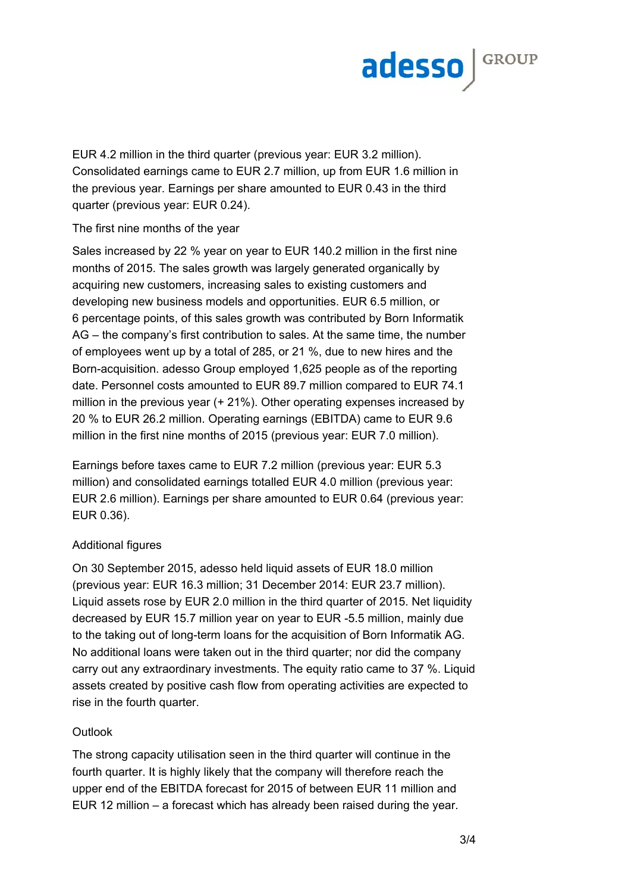

EUR 4.2 million in the third quarter (previous year: EUR 3.2 million). Consolidated earnings came to EUR 2.7 million, up from EUR 1.6 million in the previous year. Earnings per share amounted to EUR 0.43 in the third quarter (previous year: EUR 0.24).

## The first nine months of the year

Sales increased by 22 % year on year to EUR 140.2 million in the first nine months of 2015. The sales growth was largely generated organically by acquiring new customers, increasing sales to existing customers and developing new business models and opportunities. EUR 6.5 million, or 6 percentage points, of this sales growth was contributed by Born Informatik AG – the company's first contribution to sales. At the same time, the number of employees went up by a total of 285, or 21 %, due to new hires and the Born-acquisition. adesso Group employed 1,625 people as of the reporting date. Personnel costs amounted to EUR 89.7 million compared to EUR 74.1 million in the previous year (+ 21%). Other operating expenses increased by 20 % to EUR 26.2 million. Operating earnings (EBITDA) came to EUR 9.6 million in the first nine months of 2015 (previous year: EUR 7.0 million).

Earnings before taxes came to EUR 7.2 million (previous year: EUR 5.3 million) and consolidated earnings totalled EUR 4.0 million (previous year: EUR 2.6 million). Earnings per share amounted to EUR 0.64 (previous year: EUR 0.36).

## Additional figures

On 30 September 2015, adesso held liquid assets of EUR 18.0 million (previous year: EUR 16.3 million; 31 December 2014: EUR 23.7 million). Liquid assets rose by EUR 2.0 million in the third quarter of 2015. Net liquidity decreased by EUR 15.7 million year on year to EUR -5.5 million, mainly due to the taking out of long-term loans for the acquisition of Born Informatik AG. No additional loans were taken out in the third quarter; nor did the company carry out any extraordinary investments. The equity ratio came to 37 %. Liquid assets created by positive cash flow from operating activities are expected to rise in the fourth quarter.

## Outlook

The strong capacity utilisation seen in the third quarter will continue in the fourth quarter. It is highly likely that the company will therefore reach the upper end of the EBITDA forecast for 2015 of between EUR 11 million and EUR 12 million – a forecast which has already been raised during the year.